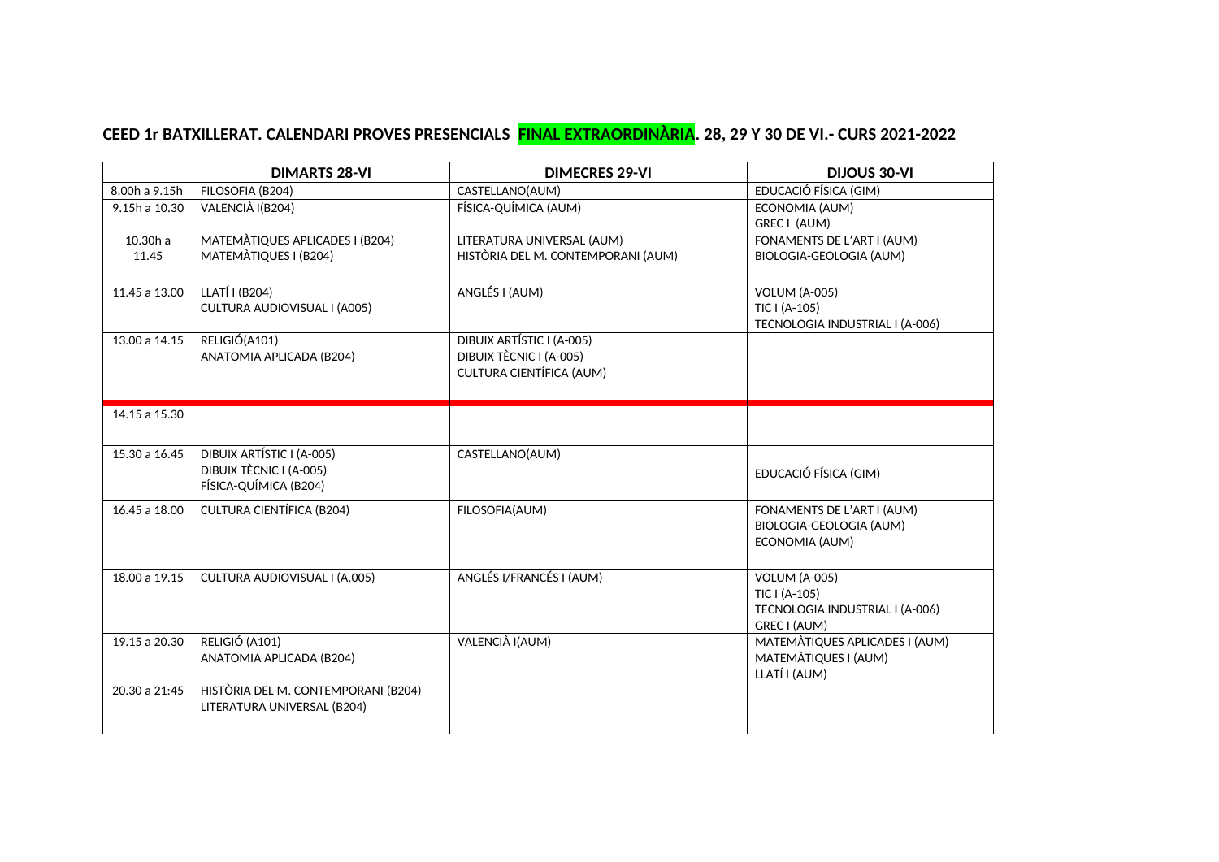## **CEED 1r BATXILLERAT. CALENDARI PROVES PRESENCIALS FINAL EXTRAORDINÀRIA. 28, 29 Y 30 DE VI.- CURS 2021-2022**

|                     | <b>DIMARTS 28-VI</b>                                                          | <b>DIMECRES 29-VI</b>                                                            | <b>DIJOUS 30-VI</b>                                                                      |
|---------------------|-------------------------------------------------------------------------------|----------------------------------------------------------------------------------|------------------------------------------------------------------------------------------|
| 8.00h a 9.15h       | FILOSOFIA (B204)                                                              | CASTELLANO(AUM)                                                                  | EDUCACIÓ FÍSICA (GIM)                                                                    |
| 9.15h a 10.30       | VALENCIÀ I(B204)                                                              | FÍSICA-QUÍMICA (AUM)                                                             | ECONOMIA (AUM)<br>GREC I (AUM)                                                           |
| $10.30h$ a<br>11.45 | MATEMÀTIQUES APLICADES I (B204)<br>MATEMATIQUES I (B204)                      | LITERATURA UNIVERSAL (AUM)<br>HISTÒRIA DEL M. CONTEMPORANI (AUM)                 | FONAMENTS DE L'ART I (AUM)<br>BIOLOGIA-GEOLOGIA (AUM)                                    |
| 11.45 a 13.00       | LLATÍ I (B204)<br>CULTURA AUDIOVISUAL I (A005)                                | ANGLÉS I (AUM)                                                                   | <b>VOLUM (A-005)</b><br>TIC I (A-105)<br>TECNOLOGIA INDUSTRIAL I (A-006)                 |
| 13.00 a 14.15       | RELIGIÓ(A101)<br>ANATOMIA APLICADA (B204)                                     | DIBUIX ARTÍSTIC I (A-005)<br>DIBUIX TÈCNIC I (A-005)<br>CULTURA CIENTÍFICA (AUM) |                                                                                          |
| 14.15 a 15.30       |                                                                               |                                                                                  |                                                                                          |
| 15.30 a 16.45       | DIBUIX ARTÍSTIC I (A-005)<br>DIBUIX TÈCNIC I (A-005)<br>FÍSICA-QUÍMICA (B204) | CASTELLANO(AUM)                                                                  | EDUCACIÓ FÍSICA (GIM)                                                                    |
| 16.45 a 18.00       | CULTURA CIENTÍFICA (B204)                                                     | FILOSOFIA(AUM)                                                                   | FONAMENTS DE L'ART I (AUM)<br>BIOLOGIA-GEOLOGIA (AUM)<br>ECONOMIA (AUM)                  |
| 18.00 a 19.15       | CULTURA AUDIOVISUAL I (A.005)                                                 | ANGLÉS I/FRANCÉS I (AUM)                                                         | <b>VOLUM (A-005)</b><br>TIC I (A-105)<br>TECNOLOGIA INDUSTRIAL I (A-006)<br>GREC I (AUM) |
| 19.15 a 20.30       | RELIGIÓ (A101)<br>ANATOMIA APLICADA (B204)                                    | VALENCIÀ I(AUM)                                                                  | MATEMÀTIQUES APLICADES I (AUM)<br>MATEMÀTIQUES I (AUM)<br>LLATÍ I (AUM)                  |
| 20.30 a 21:45       | HISTÒRIA DEL M. CONTEMPORANI (B204)<br>LITERATURA UNIVERSAL (B204)            |                                                                                  |                                                                                          |